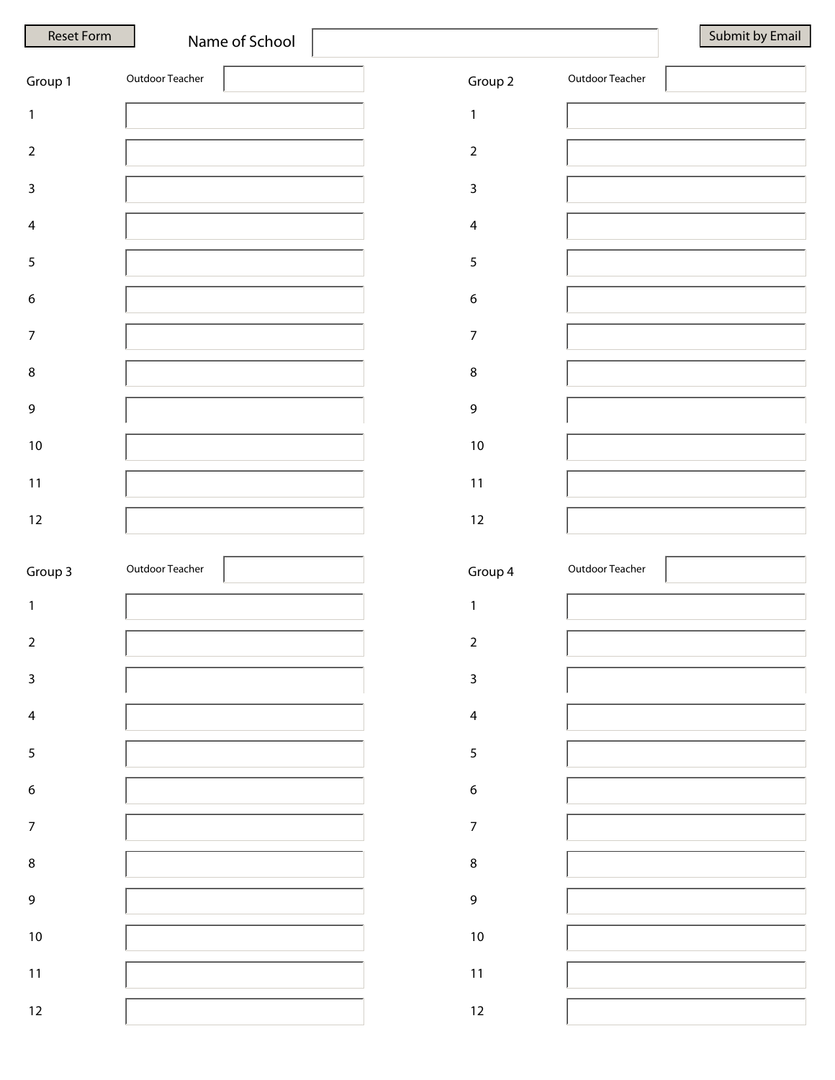|  | Submit by Emai |
|--|----------------|
|  |                |

| Group 1          | Outdoor Teacher |  | Group 2          | Outdoor Teacher |  |
|------------------|-----------------|--|------------------|-----------------|--|
| $\mathbf{1}$     |                 |  | $\mathbf{1}$     |                 |  |
| $\overline{2}$   |                 |  | $\mathbf 2$      |                 |  |
| $\mathsf{3}$     |                 |  | $\overline{3}$   |                 |  |
| $\overline{4}$   |                 |  | $\overline{4}$   |                 |  |
| $\sqrt{5}$       |                 |  | $\sqrt{5}$       |                 |  |
| $\boldsymbol{6}$ |                 |  | $\boldsymbol{6}$ |                 |  |
| $\overline{7}$   |                 |  | $\overline{7}$   |                 |  |
| $\,8\,$          |                 |  | $\bf 8$          |                 |  |
| 9                |                 |  | $\mathsf 9$      |                 |  |
| $10\,$           |                 |  | $10\,$           |                 |  |
| $11$             |                 |  | $11$             |                 |  |
| 12               |                 |  | $12\,$           |                 |  |
|                  |                 |  |                  |                 |  |
|                  |                 |  |                  |                 |  |
| Group 3          | Outdoor Teacher |  | Group 4          | Outdoor Teacher |  |
| $\mathbf{1}$     |                 |  | $\mathbf{1}$     |                 |  |
| $\mathbf 2$      |                 |  | $\sqrt{2}$       |                 |  |
| 3                |                 |  | 3                |                 |  |
| $\overline{4}$   |                 |  | $\overline{4}$   |                 |  |
| $\sqrt{5}$       |                 |  | $\overline{5}$   |                 |  |
| $\boldsymbol{6}$ |                 |  | $\boldsymbol{6}$ |                 |  |
| $\overline{7}$   |                 |  | $\overline{7}$   |                 |  |
| $\,8\,$          |                 |  | $\bf 8$          |                 |  |
| $\mathsf 9$      |                 |  | $\mathsf 9$      |                 |  |
| $10\,$           |                 |  | $10\,$           |                 |  |
| $11$             |                 |  | $11$             |                 |  |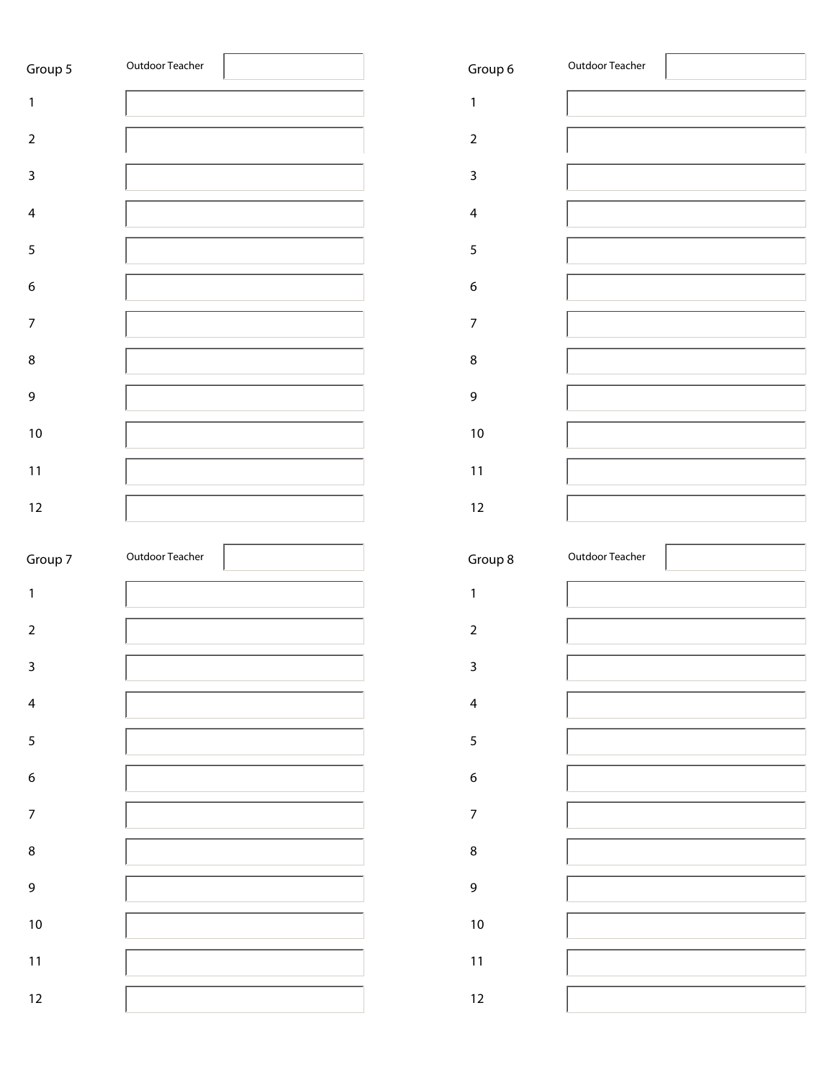| Group 5          | Outdoor Teacher | Group 6           | Outdoor Teacher |
|------------------|-----------------|-------------------|-----------------|
| $\mathbf{1}$     |                 | $\mathbf{1}$      |                 |
| $\overline{2}$   |                 | $\overline{2}$    |                 |
| $\mathsf{3}$     |                 | $\overline{3}$    |                 |
| $\overline{4}$   |                 | $\overline{4}$    |                 |
| $\sqrt{5}$       |                 | $\sqrt{5}$        |                 |
| $\boldsymbol{6}$ |                 | $\boldsymbol{6}$  |                 |
| $\boldsymbol{7}$ |                 | $\overline{7}$    |                 |
| $\bf 8$          |                 | $\, 8$            |                 |
| $\mathsf 9$      |                 | $\mathsf 9$       |                 |
| $10\,$           |                 | $10\,$            |                 |
| $11$             |                 | 11                |                 |
| 12               |                 | $12 \overline{ }$ |                 |
|                  |                 |                   |                 |
|                  |                 |                   |                 |
| Group 7          | Outdoor Teacher | Group 8           | Outdoor Teacher |
| $\mathbf{1}$     |                 | $\mathbf{1}$      |                 |
| $\overline{2}$   |                 | $\sqrt{2}$        |                 |
| 3                |                 | 3                 |                 |
| $\overline{4}$   |                 | $\overline{4}$    |                 |
| $\overline{5}$   |                 | $\overline{5}$    |                 |
| $\boldsymbol{6}$ |                 | $\boldsymbol{6}$  |                 |
| $\overline{7}$   |                 | $\overline{7}$    |                 |
| $\,8\,$          |                 | $\bf 8$           |                 |
| $\overline{9}$   |                 | $\mathsf 9$       |                 |
| $10\,$           |                 | $10\,$            |                 |
| $11\,$           |                 | $11$              |                 |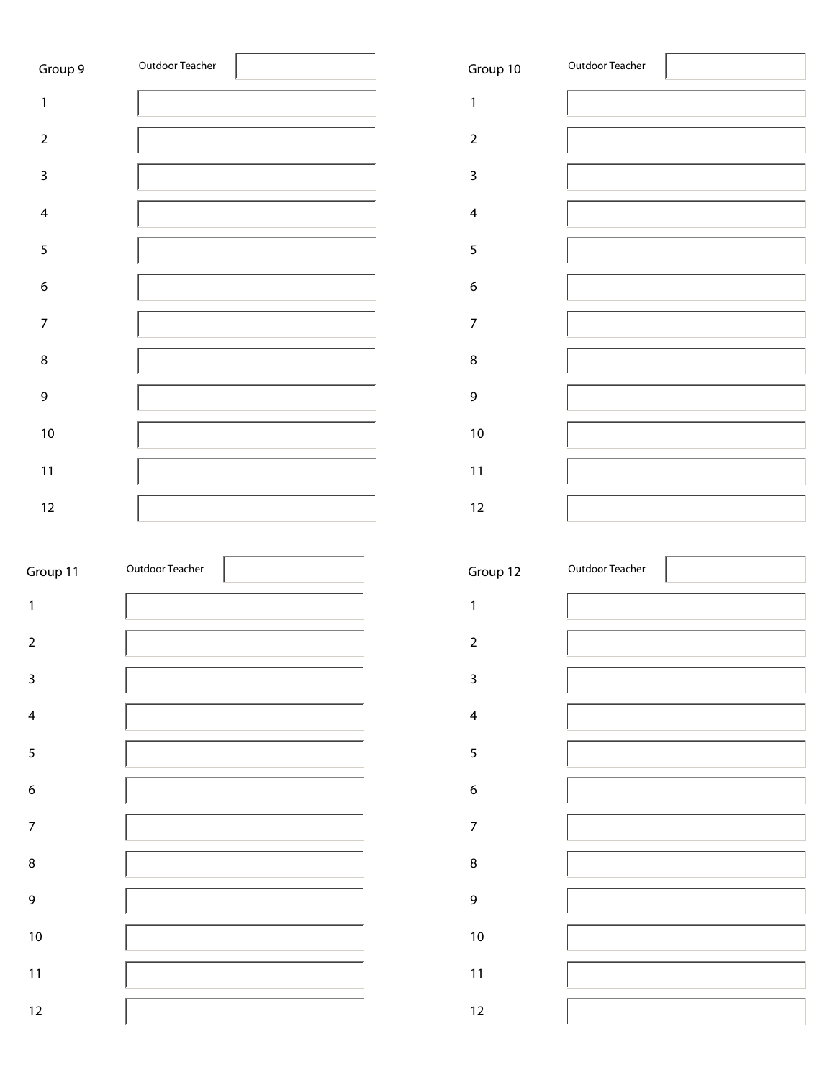| Group 9          | Outdoor Teacher |                  | Group 10                | Outdoor Teacher |
|------------------|-----------------|------------------|-------------------------|-----------------|
| 1                |                 | $\mathbf{1}$     |                         |                 |
| $\overline{2}$   |                 |                  | $\overline{2}$          |                 |
| $\mathsf 3$      |                 |                  | 3                       |                 |
| $\overline{4}$   |                 |                  | $\overline{\mathbf{4}}$ |                 |
| 5                |                 |                  | 5                       |                 |
| $\boldsymbol{6}$ |                 | $\boldsymbol{6}$ |                         |                 |
| 7                |                 |                  | $\overline{7}$          |                 |
| $\,8\,$          |                 | $\bf 8$          |                         |                 |
| $\mathsf 9$      |                 |                  | 9                       |                 |
| $10\,$           |                 |                  | $10\,$                  |                 |
| $11$             |                 |                  | $11$                    |                 |
| $12\,$           |                 |                  | 12                      |                 |

| Group 11         | Outdoor Teacher |  | Group 12         | Outdoor Teacher |
|------------------|-----------------|--|------------------|-----------------|
| $\mathbf{1}$     |                 |  | 1                |                 |
| $\mathbf 2$      |                 |  | $\overline{2}$   |                 |
| $\mathsf{3}$     |                 |  | 3                |                 |
| $\overline{4}$   |                 |  | $\overline{4}$   |                 |
| $\sqrt{5}$       |                 |  | 5                |                 |
| $\boldsymbol{6}$ |                 |  | $\boldsymbol{6}$ |                 |
| $\overline{7}$   |                 |  | $\overline{7}$   |                 |
| $\,8\,$          |                 |  | $\bf 8$          |                 |
| 9                |                 |  | 9                |                 |
| $10\,$           |                 |  | $10\,$           |                 |
| $11$             |                 |  | $11$             |                 |
| 12               |                 |  | 12               |                 |

| Group 10                | Outdoor Teacher |
|-------------------------|-----------------|
| $\mathbf{1}$            |                 |
| $\overline{2}$          |                 |
| $\mathsf 3$             |                 |
| $\overline{\mathbf{4}}$ |                 |
| 5                       |                 |
| $\boldsymbol{6}$        |                 |
| $\overline{7}$          |                 |
| 8                       |                 |
| 9                       |                 |
| 10                      |                 |
| 11                      |                 |
| 12                      |                 |

| Group 12                | Outdoor Teacher |  |
|-------------------------|-----------------|--|
| 1                       |                 |  |
| $\mathbf 2$             |                 |  |
| $\mathsf 3$             |                 |  |
| $\overline{\mathbf{4}}$ |                 |  |
| 5                       |                 |  |
| 6                       |                 |  |
| $\overline{7}$          |                 |  |
| 8                       |                 |  |
| 9                       |                 |  |
| 10                      |                 |  |
| 11                      |                 |  |
| 12                      |                 |  |